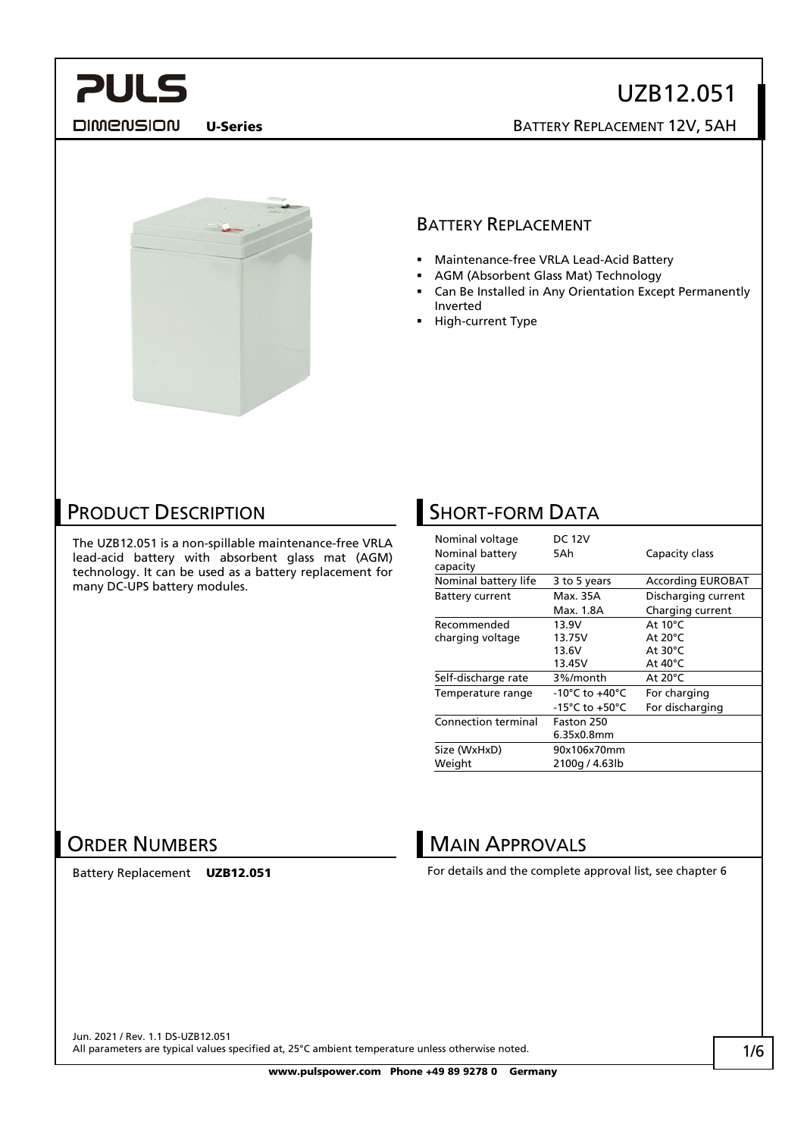**DIMENSION** 

## UZB12.051 U-Series BATTERY REPLACEMENT 12V, 5AH



#### BATTERY REPLACEMENT

- Maintenance-free VRLA Lead-Acid Battery
- AGM (Absorbent Glass Mat) Technology
- Can Be Installed in Any Orientation Except Permanently Inverted
- High-current Type

### PRODUCT DESCRIPTION

The UZB12.051 is a non-spillable maintenance-free VRLA lead-acid battery with absorbent glass mat (AGM) technology. It can be used as a battery replacement for many DC-UPS battery modules.

## **SHORT-FORM DATA**

| Nominal voltage<br>Nominal battery<br>capacity | <b>DC 12V</b><br>5Ah | Capacity class           |  |
|------------------------------------------------|----------------------|--------------------------|--|
| Nominal battery life                           | 3 to 5 years         | <b>According EUROBAT</b> |  |
| <b>Battery current</b>                         | Max. 35A             | Discharging current      |  |
|                                                | Max. 1.8A            | Charging current         |  |
| Recommended                                    | 13.9V                | At $10^{\circ}$ C        |  |
| charging voltage                               | 13.75V               | At $20^{\circ}$ C        |  |
|                                                | 13.6V                | At $30^{\circ}$ C        |  |
|                                                | 13.45V               | At $40^{\circ}$ C        |  |
| Self-discharge rate                            | 3%/month             | At $20^{\circ}$ C        |  |
| Temperature range                              | -10°C to $+40$ °C    | For charging             |  |
|                                                | -15°C to +50°C       | For discharging          |  |
| <b>Connection terminal</b>                     | Faston 250           |                          |  |
|                                                | 6.35x0.8mm           |                          |  |
| Size (WxHxD)                                   | 90x106x70mm          |                          |  |
| Weight                                         | 2100g / 4.63lb       |                          |  |

#### ORDER NUMBERS

Battery Replacement UZB12.051

#### **MAIN APPROVALS**

For details and the complete approval list, see chapter 6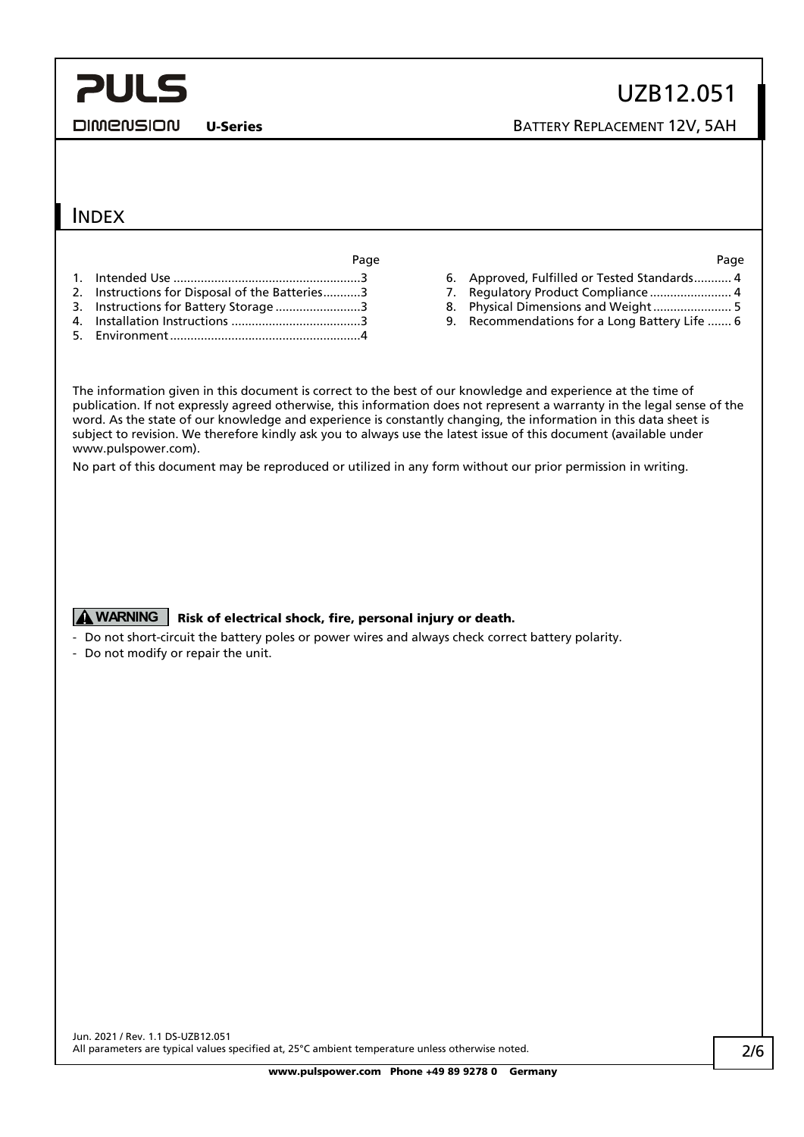DIMENSION

U-Series BATTERY REPLACEMENT 12V, 5AH

#### INDEX

Page Page

- 1. Intended Use [.......................................................3](#page-2-0)
- 2. [Instructions for Disposal of the Batteries...........3](#page-2-1)
- 3. [Instructions for Battery Storage](#page-2-2) .........................3
- 4. Installation Instructions [......................................3](#page-2-3) 5. [Environment........................................................4](#page-3-0)

- 6. [Approved, Fulfilled or Tested Standards...........](#page-3-1) 4
- 7. [Regulatory Product Compliance](#page-3-2) ............................ 4
- 8. [Physical Dimensions and Weight.......................](#page-4-0) 5
- 9. [Recommendations for a Long Battery Life](#page-5-0) ....... 6

The information given in this document is correct to the best of our knowledge and experience at the time of publication. If not expressly agreed otherwise, this information does not represent a warranty in the legal sense of the word. As the state of our knowledge and experience is constantly changing, the information in this data sheet is subject to revision. We therefore kindly ask you to always use the latest issue of this document (available under www.pulspower.com).

No part of this document may be reproduced or utilized in any form without our prior permission in writing.

#### **A WARNING** Risk of electrical shock, fire, personal injury or death.

- Do not short-circuit the battery poles or power wires and always check correct battery polarity.
- Do not modify or repair the unit.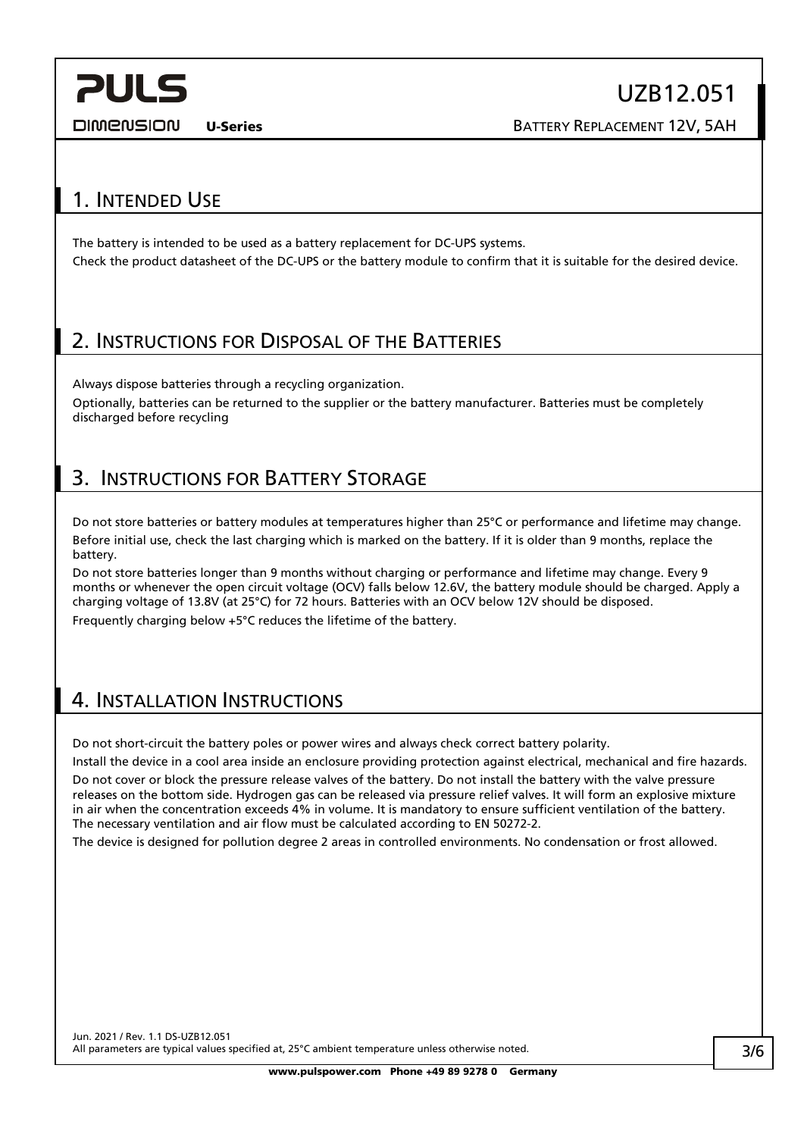DIMENSION

UZB12.051

U-Series BATTERY REPLACEMENT 12V, 5AH

### <span id="page-2-0"></span>1. INTENDED USE

The battery is intended to be used as a battery replacement for DC-UPS systems. Check the product datasheet of the DC-UPS or the battery module to confirm that it is suitable for the desired device.

#### <span id="page-2-1"></span>2. INSTRUCTIONS FOR DISPOSAL OF THE BATTERIES

Always dispose batteries through a recycling organization. Optionally, batteries can be returned to the supplier or the battery manufacturer. Batteries must be completely discharged before recycling

## <span id="page-2-2"></span>3. INSTRUCTIONS FOR BATTERY STORAGE

Do not store batteries or battery modules at temperatures higher than 25°C or performance and lifetime may change. Before initial use, check the last charging which is marked on the battery. If it is older than 9 months, replace the battery.

Do not store batteries longer than 9 months without charging or performance and lifetime may change. Every 9 months or whenever the open circuit voltage (OCV) falls below 12.6V, the battery module should be charged. Apply a charging voltage of 13.8V (at 25°C) for 72 hours. Batteries with an OCV below 12V should be disposed. Frequently charging below +5°C reduces the lifetime of the battery.

#### <span id="page-2-3"></span>4. INSTALLATION INSTRUCTIONS

Do not short-circuit the battery poles or power wires and always check correct battery polarity.

Install the device in a cool area inside an enclosure providing protection against electrical, mechanical and fire hazards.

Do not cover or block the pressure release valves of the battery. Do not install the battery with the valve pressure releases on the bottom side. Hydrogen gas can be released via pressure relief valves. It will form an explosive mixture in air when the concentration exceeds 4% in volume. It is mandatory to ensure sufficient ventilation of the battery. The necessary ventilation and air flow must be calculated according to EN 50272-2.

The device is designed for pollution degree 2 areas in controlled environments. No condensation or frost allowed.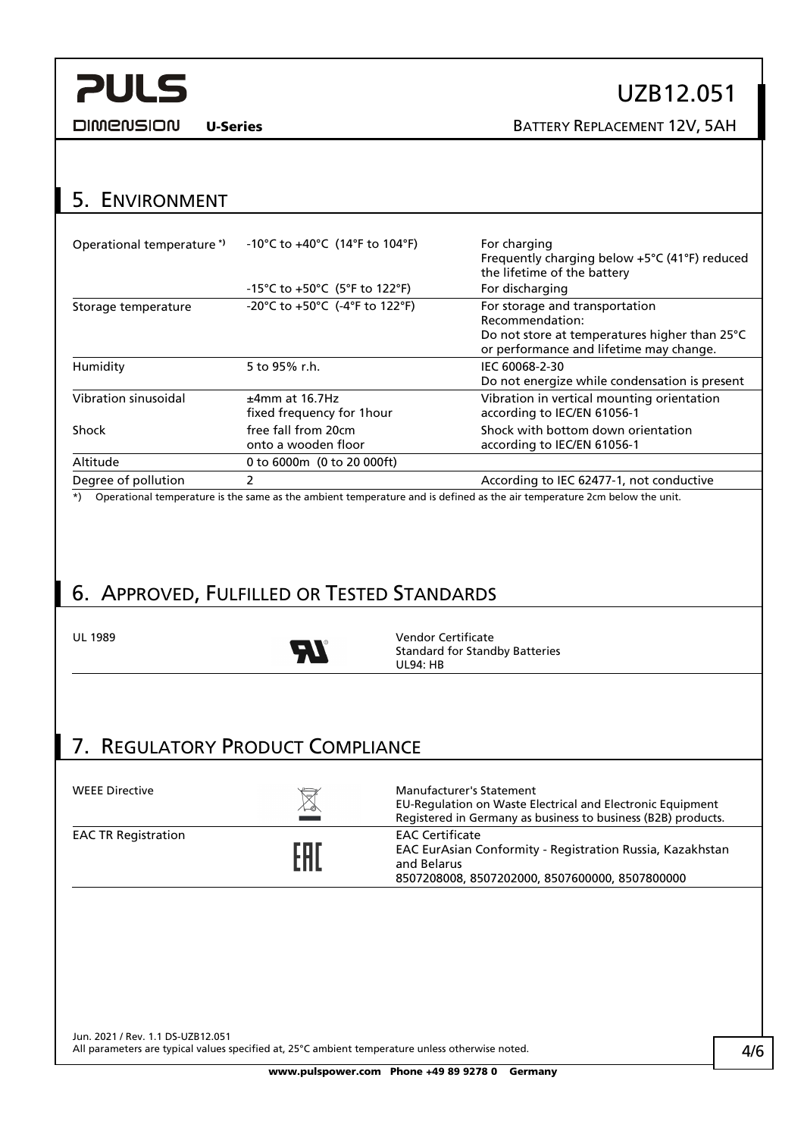**DIMENSION** 

# UZB12.051

U-Series BATTERY REPLACEMENT 12V, 5AH

### <span id="page-3-0"></span>5. ENVIRONMENT

| Operational temperature <sup>*</sup>                                                      | -10°C to +40°C (14°F to 104°F)                 | For charging<br>Frequently charging below +5°C (41°F) reduced<br>the lifetime of the battery                                                  |  |  |
|-------------------------------------------------------------------------------------------|------------------------------------------------|-----------------------------------------------------------------------------------------------------------------------------------------------|--|--|
|                                                                                           | -15°C to +50°C (5°F to 122°F)                  | For discharging                                                                                                                               |  |  |
| Storage temperature                                                                       | -20°C to +50°C (-4°F to 122°F)                 | For storage and transportation<br>Recommendation:<br>Do not store at temperatures higher than 25°C<br>or performance and lifetime may change. |  |  |
| Humidity                                                                                  | 5 to 95% r.h.                                  | IEC 60068-2-30<br>Do not energize while condensation is present                                                                               |  |  |
| Vibration sinusoidal                                                                      | $±4mm$ at 16.7Hz<br>fixed frequency for 1 hour | Vibration in vertical mounting orientation<br>according to IEC/EN 61056-1                                                                     |  |  |
| Shock                                                                                     | free fall from 20cm<br>onto a wooden floor     | Shock with bottom down orientation<br>according to IEC/EN 61056-1                                                                             |  |  |
| Altitude                                                                                  | 0 to 6000m (0 to 20 000ft)                     |                                                                                                                                               |  |  |
| Degree of pollution                                                                       |                                                | According to IEC 62477-1, not conductive                                                                                                      |  |  |
| المتافين والمتحاول والمتافي والمتافين والمتحاول والمتحافظ والمتحافين والمتحافظ والمتحافين |                                                |                                                                                                                                               |  |  |

\*) Operational temperature is the same as the ambient temperature and is defined as the air temperature 2cm below the unit.

## <span id="page-3-1"></span>6. APPROVED, FULFILLED OR TESTED STANDARDS



UL 1989 Vendor Certificate<br>
The Standard for Standard Standard Standard Standard Standard Standard Standard Standard Standard Standard St Standard for Standby Batteries UL94: HB

### <span id="page-3-2"></span>7. REGULATORY PRODUCT COMPLIANCE

| <b>WEEE Directive</b>      | $\boxtimes$ | <b>Manufacturer's Statement</b><br>EU-Regulation on Waste Electrical and Electronic Equipment<br>Registered in Germany as business to business (B2B) products. |
|----------------------------|-------------|----------------------------------------------------------------------------------------------------------------------------------------------------------------|
| <b>EAC TR Registration</b> | FAI         | <b>EAC Certificate</b><br>EAC EurAsian Conformity - Registration Russia, Kazakhstan<br>and Belarus<br>8507208008, 8507202000, 8507600000, 8507800000           |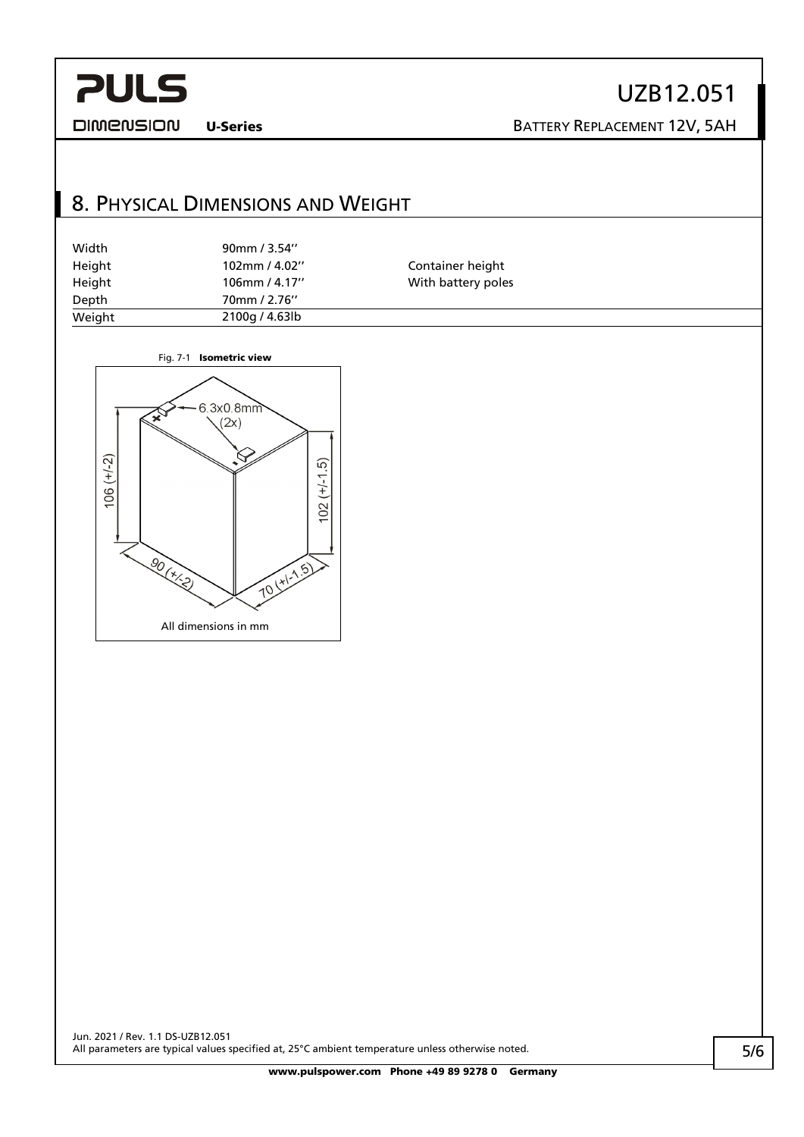UZB12.051

**DIMENSION** 

U-Series BATTERY REPLACEMENT 12V, 5AH

## <span id="page-4-0"></span>8. PHYSICAL DIMENSIONS AND WEIGHT

| Width  | 90mm / 3.54"     |                    |  |
|--------|------------------|--------------------|--|
| Height | $102$ mm / 4.02" | Container height   |  |
| Height | 106mm / 4.17"    | With battery poles |  |
| Depth  | 70mm / 2.76"     |                    |  |
| Weight | 2100g / 4.63lb   |                    |  |